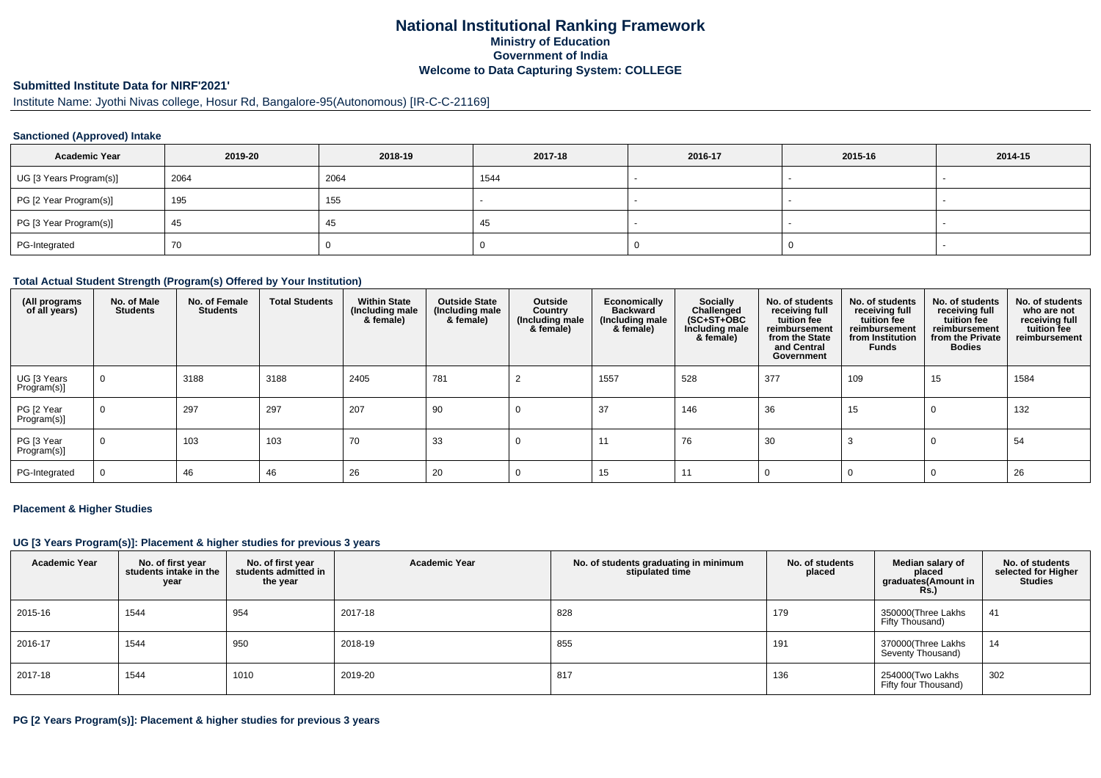# **National Institutional Ranking FrameworkMinistry of Education Government of IndiaWelcome to Data Capturing System: COLLEGE**

# **Submitted Institute Data for NIRF'2021'**

# Institute Name: Jyothi Nivas college, Hosur Rd, Bangalore-95(Autonomous) [IR-C-C-21169]

#### **Sanctioned (Approved) Intake**

| <b>Academic Year</b>    | 2019-20 | 2018-19 | 2017-18 | 2016-17 | 2015-16 | 2014-15 |
|-------------------------|---------|---------|---------|---------|---------|---------|
| UG [3 Years Program(s)] | 2064    | 2064    | 1544    |         |         |         |
| PG [2 Year Program(s)]  | 195     | 155     |         |         |         |         |
| PG [3 Year Program(s)]  | -45     | 45      | -45     |         |         |         |
| PG-Integrated           | 70      |         |         |         |         |         |

#### **Total Actual Student Strength (Program(s) Offered by Your Institution)**

| (All programs<br>of all years) | No. of Male<br><b>Students</b> | No. of Female<br><b>Students</b> | <b>Total Students</b> | <b>Within State</b><br>(Including male<br>& female) | <b>Outside State</b><br>(Including male)<br>& female) | Outside<br>Country<br>(Including male<br>& female) | Economically<br><b>Backward</b><br>(Including male<br>& female) | Socially<br>Challenged<br>$(SC+ST+OBC$<br>Including male<br>& female) | No. of students<br>receiving full<br>tuition fee<br>reimbursement<br>from the State<br>and Central<br>Government | No. of students<br>receiving full<br>tuition fee<br>reimbursement<br>from Institution<br><b>Funds</b> | No. of students<br>receiving full<br>tuition fee<br>reimbursement<br>from the Private<br><b>Bodies</b> | No. of students<br>who are not<br>receiving full<br>tuition fee<br>reimbursement |
|--------------------------------|--------------------------------|----------------------------------|-----------------------|-----------------------------------------------------|-------------------------------------------------------|----------------------------------------------------|-----------------------------------------------------------------|-----------------------------------------------------------------------|------------------------------------------------------------------------------------------------------------------|-------------------------------------------------------------------------------------------------------|--------------------------------------------------------------------------------------------------------|----------------------------------------------------------------------------------|
| UG [3 Years<br>Program(s)]     | $\mathbf{0}$                   | 3188                             | 3188                  | 2405                                                | 781                                                   |                                                    | 1557                                                            | 528                                                                   | 377                                                                                                              | 109                                                                                                   | 15                                                                                                     | 1584                                                                             |
| PG [2 Year<br>Program(s)]      | $\Omega$                       | 297                              | 297                   | 207                                                 | 90                                                    | 0                                                  | 37                                                              | 146                                                                   | 36                                                                                                               | 15                                                                                                    | $\mathbf 0$                                                                                            | 132                                                                              |
| PG [3 Year<br>Program(s)]      |                                | 103                              | 103                   | 70                                                  | 33                                                    |                                                    | 11                                                              | 76                                                                    | 30                                                                                                               |                                                                                                       | 0                                                                                                      | 54                                                                               |
| PG-Integrated                  |                                | 46                               | 46                    | 26                                                  | 20                                                    |                                                    | 15                                                              | 11                                                                    |                                                                                                                  |                                                                                                       | $\Omega$                                                                                               | 26                                                                               |

#### **Placement & Higher Studies**

#### **UG [3 Years Program(s)]: Placement & higher studies for previous 3 years**

| <b>Academic Year</b> | No. of first year<br>students intake in the<br>year | No. of first year<br>students admitted in<br>the year | <b>Academic Year</b> | No. of students graduating in minimum<br>stipulated time | No. of students<br>placed | Median salary of<br>placed<br>graduates(Amount in<br>Rs.) | No. of students<br>selected for Higher<br><b>Studies</b> |
|----------------------|-----------------------------------------------------|-------------------------------------------------------|----------------------|----------------------------------------------------------|---------------------------|-----------------------------------------------------------|----------------------------------------------------------|
| 2015-16              | 1544                                                | 954                                                   | 2017-18              | 828                                                      | 179                       | 350000(Three Lakhs<br>Fifty Thousand)                     | 41                                                       |
| 2016-17              | 1544                                                | 950                                                   | 2018-19              | 855                                                      | 191                       | 370000(Three Lakhs<br>Seventy Thousand)                   | 14                                                       |
| 2017-18              | 1544                                                | 1010                                                  | 2019-20              | 817                                                      | 136                       | 254000(Two Lakhs<br>Fifty four Thousand)                  | 302                                                      |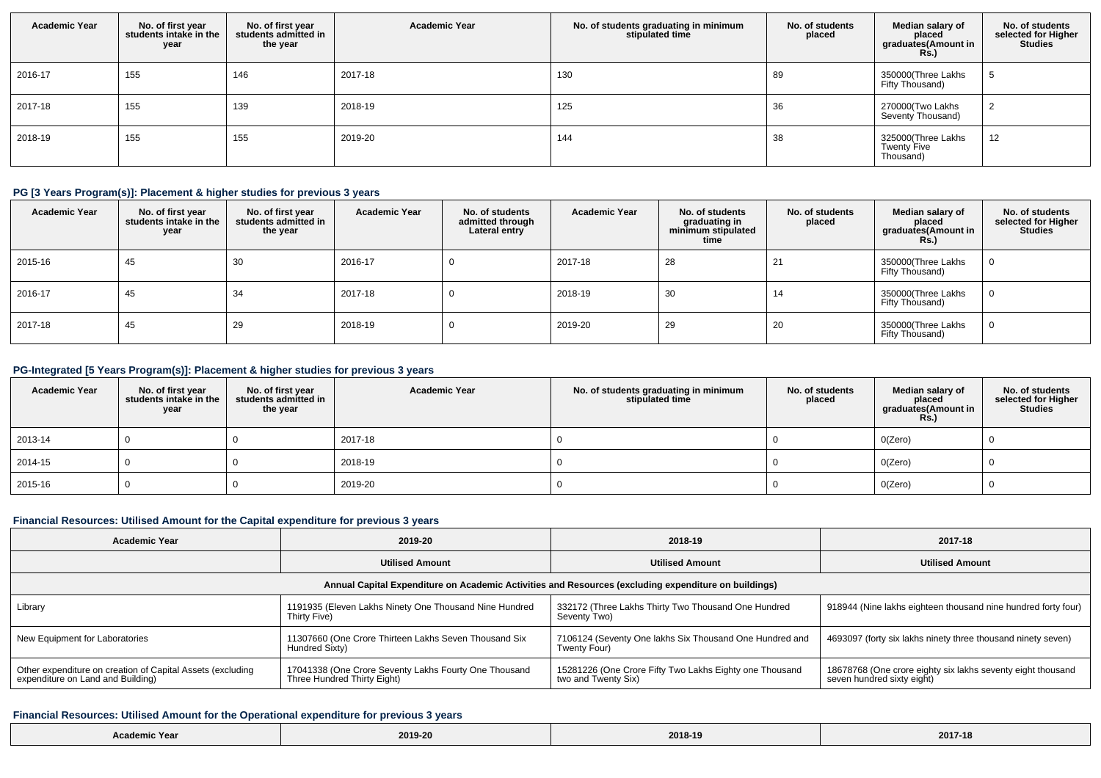| <b>Academic Year</b> | No. of first year<br>students intake in the<br>year | No. of first year<br>students admitted in<br>the year | <b>Academic Year</b> | No. of students graduating in minimum<br>stipulated time | No. of students<br>placed | Median salary of<br>placed<br>graduates(Amount in<br><b>Rs.)</b> | No. of students<br>selected for Higher<br><b>Studies</b> |
|----------------------|-----------------------------------------------------|-------------------------------------------------------|----------------------|----------------------------------------------------------|---------------------------|------------------------------------------------------------------|----------------------------------------------------------|
| 2016-17              | 155                                                 | 146                                                   | 2017-18              | 130                                                      | 89                        | 350000(Three Lakhs<br>Fifty Thousand)                            |                                                          |
| 2017-18              | 155                                                 | 139                                                   | 2018-19              | 125                                                      | 36                        | 270000(Two Lakhs<br>Seventy Thousand)                            |                                                          |
| 2018-19              | 155                                                 | 155                                                   | 2019-20              | 144                                                      | 38                        | 325000(Three Lakhs<br><b>Twenty Five</b><br>Thousand)            | 12                                                       |

## **PG [3 Years Program(s)]: Placement & higher studies for previous 3 years**

| <b>Academic Year</b> | No. of first year<br>students intake in the<br>year | No. of first year<br>students admitted in<br>the year | <b>Academic Year</b> | No. of students<br>admitted through<br>Lateral entry | <b>Academic Year</b> | No. of students<br>graduating in<br>minimum stipulated<br>time | No. of students<br>placed | Median salary of<br>placed<br>graduates(Amount in<br>Rs.) | No. of students<br>selected for Higher<br><b>Studies</b> |
|----------------------|-----------------------------------------------------|-------------------------------------------------------|----------------------|------------------------------------------------------|----------------------|----------------------------------------------------------------|---------------------------|-----------------------------------------------------------|----------------------------------------------------------|
| 2015-16              | 45                                                  | 30                                                    | 2016-17              |                                                      | 2017-18              | 28                                                             | 21                        | 350000(Three Lakhs<br>Fifty Thousand)                     |                                                          |
| 2016-17              | 45                                                  | -34                                                   | 2017-18              |                                                      | 2018-19              | 30                                                             | 14                        | 350000(Three Lakhs<br>Fifty Thousand)                     |                                                          |
| 2017-18              | 45                                                  | 29                                                    | 2018-19              |                                                      | 2019-20              | 29                                                             | 20                        | 350000(Three Lakhs<br>Fifty Thousand)                     |                                                          |

## **PG-Integrated [5 Years Program(s)]: Placement & higher studies for previous 3 years**

| <b>Academic Year</b> | No. of first year<br>students intake in the<br>year | No. of first year<br>students admitted in<br>the year | <b>Academic Year</b> | No. of students graduating in minimum<br>stipulated time | No. of students<br>placed | Median salary of<br>placed<br>graduates(Amount in<br><b>Rs.)</b> | No. of students<br>selected for Higher<br>Studies |
|----------------------|-----------------------------------------------------|-------------------------------------------------------|----------------------|----------------------------------------------------------|---------------------------|------------------------------------------------------------------|---------------------------------------------------|
| 2013-14              |                                                     |                                                       | 2017-18              |                                                          |                           | O(Zero)                                                          |                                                   |
| 2014-15              |                                                     |                                                       | 2018-19              |                                                          |                           | O(Zero)                                                          |                                                   |
| 2015-16              |                                                     |                                                       | 2019-20              |                                                          |                           | O(Zero)                                                          |                                                   |

#### **Financial Resources: Utilised Amount for the Capital expenditure for previous 3 years**

| <b>Academic Year</b>                                                                                 | 2019-20                                                                              | 2018-19                                                                        | 2017-18                                                                                   |  |  |  |  |  |  |  |
|------------------------------------------------------------------------------------------------------|--------------------------------------------------------------------------------------|--------------------------------------------------------------------------------|-------------------------------------------------------------------------------------------|--|--|--|--|--|--|--|
|                                                                                                      | <b>Utilised Amount</b>                                                               | <b>Utilised Amount</b>                                                         | <b>Utilised Amount</b>                                                                    |  |  |  |  |  |  |  |
| Annual Capital Expenditure on Academic Activities and Resources (excluding expenditure on buildings) |                                                                                      |                                                                                |                                                                                           |  |  |  |  |  |  |  |
| Library                                                                                              | 1191935 (Eleven Lakhs Ninety One Thousand Nine Hundred<br>Thirty Five)               | 332172 (Three Lakhs Thirty Two Thousand One Hundred<br>Seventy Two)            | 918944 (Nine lakhs eighteen thousand nine hundred forty four)                             |  |  |  |  |  |  |  |
| New Equipment for Laboratories                                                                       | 11307660 (One Crore Thirteen Lakhs Seven Thousand Six<br>Hundred Sixty)              | 7106124 (Seventy One lakhs Six Thousand One Hundred and<br>Twenty Four)        | 4693097 (forty six lakhs ninety three thousand ninety seven)                              |  |  |  |  |  |  |  |
| Other expenditure on creation of Capital Assets (excluding<br>expenditure on Land and Building)      | 17041338 (One Crore Seventy Lakhs Fourty One Thousand<br>Three Hundred Thirty Eight) | 15281226 (One Crore Fifty Two Lakhs Eighty one Thousand<br>two and Twenty Six) | 18678768 (One crore eighty six lakhs seventy eight thousand<br>seven hundred sixty eight) |  |  |  |  |  |  |  |

# **Financial Resources: Utilised Amount for the Operational expenditure for previous 3 years**

|--|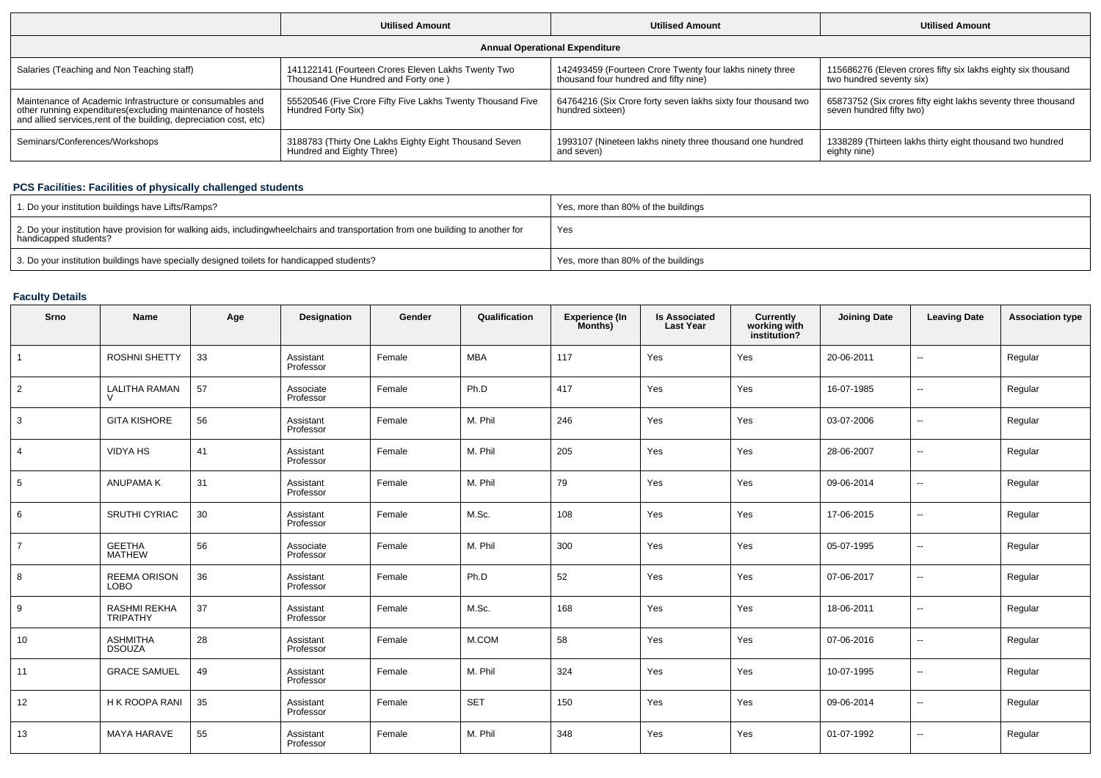|                                                                                                                                                                                                 | <b>Utilised Amount</b>                                                                    | <b>Utilised Amount</b>                                                                            | <b>Utilised Amount</b>                                                                    |  |
|-------------------------------------------------------------------------------------------------------------------------------------------------------------------------------------------------|-------------------------------------------------------------------------------------------|---------------------------------------------------------------------------------------------------|-------------------------------------------------------------------------------------------|--|
|                                                                                                                                                                                                 |                                                                                           | <b>Annual Operational Expenditure</b>                                                             |                                                                                           |  |
| Salaries (Teaching and Non Teaching staff)                                                                                                                                                      | 141122141 (Fourteen Crores Eleven Lakhs Twenty Two<br>Thousand One Hundred and Forty one) | 142493459 (Fourteen Crore Twenty four lakhs ninety three<br>thousand four hundred and fifty nine) | 115686276 (Eleven crores fifty six lakhs eighty six thousand<br>two hundred seventy six)  |  |
| Maintenance of Academic Infrastructure or consumables and<br>other running expenditures (excluding maintenance of hostels<br>and allied services, rent of the building, depreciation cost, etc) | 55520546 (Five Crore Fifty Five Lakhs Twenty Thousand Five<br>Hundred Forty Six)          | 64764216 (Six Crore forty seven lakhs sixty four thousand two<br>hundred sixteen)                 | 65873752 (Six crores fifty eight lakhs seventy three thousand<br>seven hundred fifty two) |  |
| Seminars/Conferences/Workshops                                                                                                                                                                  | 3188783 (Thirty One Lakhs Eighty Eight Thousand Seven<br>Hundred and Eighty Three)        | 1993107 (Nineteen lakhs ninety three thousand one hundred<br>and seven)                           | 1338289 (Thirteen lakhs thirty eight thousand two hundred<br>eighty nine)                 |  |

## **PCS Facilities: Facilities of physically challenged students**

| 1. Do your institution buildings have Lifts/Ramps?                                                                                                        | Yes, more than 80% of the buildings |
|-----------------------------------------------------------------------------------------------------------------------------------------------------------|-------------------------------------|
| 2. Do your institution have provision for walking aids, includingwheelchairs and transportation from one building to another for<br>handicapped students? | Yes                                 |
| 3. Do your institution buildings have specially designed toilets for handicapped students?                                                                | Yes, more than 80% of the buildings |

## **Faculty Details**

| Srno           | Name                             | Age | <b>Designation</b>     | Gender | Qualification | <b>Experience (In</b><br>Months) | <b>Is Associated</b><br><b>Last Year</b> | <b>Currently<br/>working with<br/>institution?</b> | <b>Joining Date</b> | <b>Leaving Date</b>      | <b>Association type</b> |
|----------------|----------------------------------|-----|------------------------|--------|---------------|----------------------------------|------------------------------------------|----------------------------------------------------|---------------------|--------------------------|-------------------------|
| $\mathbf{1}$   | ROSHNI SHETTY                    | 33  | Assistant<br>Professor | Female | <b>MBA</b>    | 117                              | Yes                                      | Yes                                                | 20-06-2011          | $\sim$                   | Regular                 |
| 2              | <b>LALITHA RAMAN</b>             | 57  | Associate<br>Professor | Female | Ph.D          | 417                              | Yes                                      | Yes                                                | 16-07-1985          | $\sim$                   | Regular                 |
| 3              | <b>GITA KISHORE</b>              | 56  | Assistant<br>Professor | Female | M. Phil       | 246                              | Yes                                      | Yes                                                | 03-07-2006          | $\overline{\phantom{a}}$ | Regular                 |
| $\overline{4}$ | <b>VIDYA HS</b>                  | 41  | Assistant<br>Professor | Female | M. Phil       | 205                              | Yes                                      | Yes                                                | 28-06-2007          | $\overline{\phantom{a}}$ | Regular                 |
| 5              | ANUPAMA K                        | 31  | Assistant<br>Professor | Female | M. Phil       | 79                               | Yes                                      | Yes                                                | 09-06-2014          | $\overline{\phantom{a}}$ | Regular                 |
| 6              | <b>SRUTHI CYRIAC</b>             | 30  | Assistant<br>Professor | Female | M.Sc.         | 108                              | Yes                                      | Yes                                                | 17-06-2015          | $\overline{\phantom{a}}$ | Regular                 |
| $\overline{7}$ | <b>GEETHA</b><br><b>MATHEW</b>   | 56  | Associate<br>Professor | Female | M. Phil       | 300                              | Yes                                      | Yes                                                | 05-07-1995          | $\overline{\phantom{a}}$ | Regular                 |
| 8              | REEMA ORISON<br><b>LOBO</b>      | 36  | Assistant<br>Professor | Female | Ph.D          | 52                               | Yes                                      | Yes                                                | 07-06-2017          | $\overline{a}$           | Regular                 |
| 9              | RASHMI REKHA<br>TRIPATHY         | 37  | Assistant<br>Professor | Female | M.Sc.         | 168                              | Yes                                      | Yes                                                | 18-06-2011          | $\overline{\phantom{a}}$ | Regular                 |
| 10             | <b>ASHMITHA</b><br><b>DSOUZA</b> | 28  | Assistant<br>Professor | Female | M.COM         | 58                               | Yes                                      | Yes                                                | 07-06-2016          | $\sim$                   | Regular                 |
| 11             | <b>GRACE SAMUEL</b>              | 49  | Assistant<br>Professor | Female | M. Phil       | 324                              | Yes                                      | Yes                                                | 10-07-1995          | $\sim$                   | Regular                 |
| 12             | H K ROOPA RANI                   | 35  | Assistant<br>Professor | Female | <b>SET</b>    | 150                              | Yes                                      | Yes                                                | 09-06-2014          | $\overline{\phantom{a}}$ | Regular                 |
| 13             | <b>MAYA HARAVE</b>               | 55  | Assistant<br>Professor | Female | M. Phil       | 348                              | Yes                                      | Yes                                                | 01-07-1992          | $\overline{\phantom{a}}$ | Regular                 |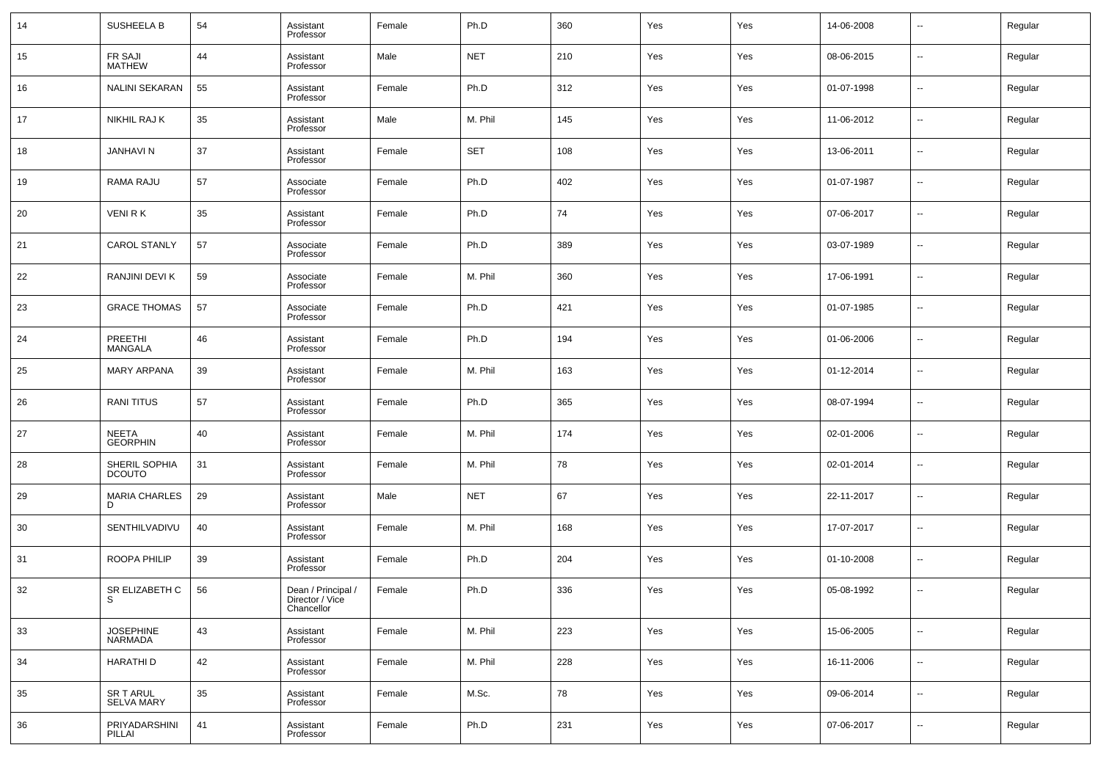| 14 | SUSHEELA B                         | 54 | Assistant<br>Professor                              | Female | Ph.D       | 360 | Yes | Yes | 14-06-2008 | $\overline{\phantom{a}}$ | Regular |
|----|------------------------------------|----|-----------------------------------------------------|--------|------------|-----|-----|-----|------------|--------------------------|---------|
| 15 | FR SAJI<br><b>MATHEW</b>           | 44 | Assistant<br>Professor                              | Male   | <b>NET</b> | 210 | Yes | Yes | 08-06-2015 | $\overline{\phantom{a}}$ | Regular |
| 16 | <b>NALINI SEKARAN</b>              | 55 | Assistant<br>Professor                              | Female | Ph.D       | 312 | Yes | Yes | 01-07-1998 | $\sim$                   | Regular |
| 17 | NIKHIL RAJ K                       | 35 | Assistant<br>Professor                              | Male   | M. Phil    | 145 | Yes | Yes | 11-06-2012 | --                       | Regular |
| 18 | <b>JANHAVI N</b>                   | 37 | Assistant<br>Professor                              | Female | <b>SET</b> | 108 | Yes | Yes | 13-06-2011 | $\overline{\phantom{a}}$ | Regular |
| 19 | RAMA RAJU                          | 57 | Associate<br>Professor                              | Female | Ph.D       | 402 | Yes | Yes | 01-07-1987 | --                       | Regular |
| 20 | <b>VENIRK</b>                      | 35 | Assistant<br>Professor                              | Female | Ph.D       | 74  | Yes | Yes | 07-06-2017 | --                       | Regular |
| 21 | <b>CAROL STANLY</b>                | 57 | Associate<br>Professor                              | Female | Ph.D       | 389 | Yes | Yes | 03-07-1989 | --                       | Regular |
| 22 | RANJINI DEVI K                     | 59 | Associate<br>Professor                              | Female | M. Phil    | 360 | Yes | Yes | 17-06-1991 | --                       | Regular |
| 23 | <b>GRACE THOMAS</b>                | 57 | Associate<br>Professor                              | Female | Ph.D       | 421 | Yes | Yes | 01-07-1985 | $\overline{\phantom{a}}$ | Regular |
| 24 | PREETHI<br>MANGALA                 | 46 | Assistant<br>Professor                              | Female | Ph.D       | 194 | Yes | Yes | 01-06-2006 | --                       | Regular |
| 25 | <b>MARY ARPANA</b>                 | 39 | Assistant<br>Professor                              | Female | M. Phil    | 163 | Yes | Yes | 01-12-2014 | --                       | Regular |
| 26 | <b>RANITITUS</b>                   | 57 | Assistant<br>Professor                              | Female | Ph.D       | 365 | Yes | Yes | 08-07-1994 | --                       | Regular |
| 27 | <b>NEETA</b><br><b>GEORPHIN</b>    | 40 | Assistant<br>Professor                              | Female | M. Phil    | 174 | Yes | Yes | 02-01-2006 | --                       | Regular |
| 28 | SHERIL SOPHIA<br><b>DCOUTO</b>     | 31 | Assistant<br>Professor                              | Female | M. Phil    | 78  | Yes | Yes | 02-01-2014 | --                       | Regular |
| 29 | <b>MARIA CHARLES</b><br>D.         | 29 | Assistant<br>Professor                              | Male   | <b>NET</b> | 67  | Yes | Yes | 22-11-2017 | --                       | Regular |
| 30 | SENTHILVADIVU                      | 40 | Assistant<br>Professor                              | Female | M. Phil    | 168 | Yes | Yes | 17-07-2017 | --                       | Regular |
| 31 | ROOPA PHILIP                       | 39 | Assistant<br>Professor                              | Female | Ph.D       | 204 | Yes | Yes | 01-10-2008 | --                       | Regular |
| 32 | SR ELIZABETH C                     | 56 | Dean / Principal /<br>Director / Vice<br>Chancellor | Female | Ph.D       | 336 | Yes | Yes | 05-08-1992 | $\overline{\phantom{a}}$ | Regular |
| 33 | <b>JOSEPHINE</b><br><b>NARMADA</b> | 43 | Assistant<br>Professor                              | Female | M. Phil    | 223 | Yes | Yes | 15-06-2005 | $\sim$                   | Regular |
| 34 | HARATHI D                          | 42 | Assistant<br>Professor                              | Female | M. Phil    | 228 | Yes | Yes | 16-11-2006 | $\sim$                   | Regular |
| 35 | SR T ARUL<br><b>SELVA MARY</b>     | 35 | Assistant<br>Professor                              | Female | M.Sc.      | 78  | Yes | Yes | 09-06-2014 | $\sim$                   | Regular |
| 36 | PRIYADARSHINI<br>PILLAI            | 41 | Assistant<br>Professor                              | Female | Ph.D       | 231 | Yes | Yes | 07-06-2017 | $\sim$                   | Regular |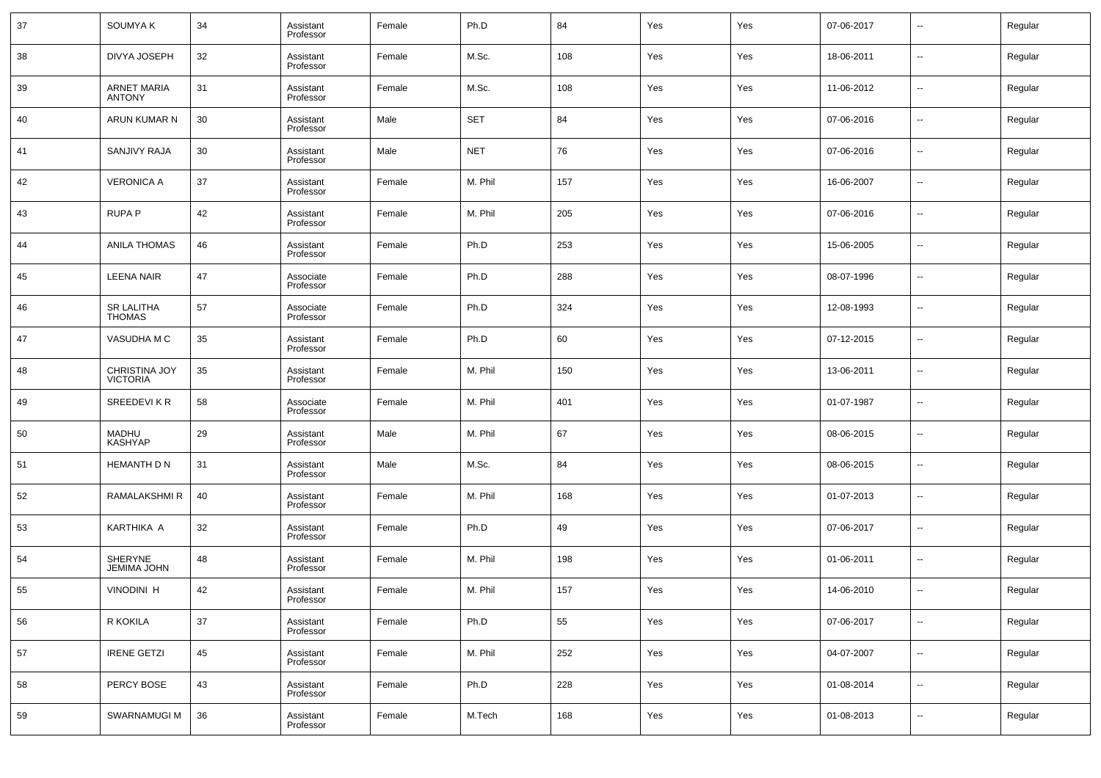| 37 | <b>SOUMYAK</b>                       | 34 | Assistant<br>Professor | Female | Ph.D       | 84  | Yes | Yes | 07-06-2017 | $\overline{\phantom{a}}$ | Regular |
|----|--------------------------------------|----|------------------------|--------|------------|-----|-----|-----|------------|--------------------------|---------|
| 38 | <b>DIVYA JOSEPH</b>                  | 32 | Assistant<br>Professor | Female | M.Sc.      | 108 | Yes | Yes | 18-06-2011 | $\overline{\phantom{a}}$ | Regular |
| 39 | <b>ARNET MARIA</b><br><b>ANTONY</b>  | 31 | Assistant<br>Professor | Female | M.Sc.      | 108 | Yes | Yes | 11-06-2012 | $\overline{\phantom{a}}$ | Regular |
| 40 | ARUN KUMAR N                         | 30 | Assistant<br>Professor | Male   | <b>SET</b> | 84  | Yes | Yes | 07-06-2016 | $\overline{\phantom{a}}$ | Regular |
| 41 | <b>SANJIVY RAJA</b>                  | 30 | Assistant<br>Professor | Male   | <b>NET</b> | 76  | Yes | Yes | 07-06-2016 | $\overline{\phantom{a}}$ | Regular |
| 42 | <b>VERONICA A</b>                    | 37 | Assistant<br>Professor | Female | M. Phil    | 157 | Yes | Yes | 16-06-2007 | $\overline{\phantom{a}}$ | Regular |
| 43 | <b>RUPA P</b>                        | 42 | Assistant<br>Professor | Female | M. Phil    | 205 | Yes | Yes | 07-06-2016 | $\overline{\phantom{a}}$ | Regular |
| 44 | <b>ANILA THOMAS</b>                  | 46 | Assistant<br>Professor | Female | Ph.D       | 253 | Yes | Yes | 15-06-2005 | $\overline{\phantom{a}}$ | Regular |
| 45 | <b>LEENA NAIR</b>                    | 47 | Associate<br>Professor | Female | Ph.D       | 288 | Yes | Yes | 08-07-1996 | $\overline{\phantom{a}}$ | Regular |
| 46 | <b>SR LALITHA</b><br><b>THOMAS</b>   | 57 | Associate<br>Professor | Female | Ph.D       | 324 | Yes | Yes | 12-08-1993 | $\overline{\phantom{a}}$ | Regular |
| 47 | VASUDHA M C                          | 35 | Assistant<br>Professor | Female | Ph.D       | 60  | Yes | Yes | 07-12-2015 | $\overline{\phantom{a}}$ | Regular |
| 48 | CHRISTINA JOY<br><b>VICTORIA</b>     | 35 | Assistant<br>Professor | Female | M. Phil    | 150 | Yes | Yes | 13-06-2011 | $\overline{\phantom{a}}$ | Regular |
| 49 | SREEDEVIKR                           | 58 | Associate<br>Professor | Female | M. Phil    | 401 | Yes | Yes | 01-07-1987 | $\overline{\phantom{a}}$ | Regular |
| 50 | <b>MADHU</b><br><b>KASHYAP</b>       | 29 | Assistant<br>Professor | Male   | M. Phil    | 67  | Yes | Yes | 08-06-2015 | $\overline{\phantom{a}}$ | Regular |
| 51 | <b>HEMANTH D N</b>                   | 31 | Assistant<br>Professor | Male   | M.Sc.      | 84  | Yes | Yes | 08-06-2015 | $\overline{\phantom{a}}$ | Regular |
| 52 | RAMALAKSHMI R                        | 40 | Assistant<br>Professor | Female | M. Phil    | 168 | Yes | Yes | 01-07-2013 | $\overline{\phantom{a}}$ | Regular |
| 53 | KARTHIKA A                           | 32 | Assistant<br>Professor | Female | Ph.D       | 49  | Yes | Yes | 07-06-2017 | $\overline{\phantom{a}}$ | Regular |
| 54 | <b>SHERYNE</b><br><b>JEMIMA JOHN</b> | 48 | Assistant<br>Professor | Female | M. Phil    | 198 | Yes | Yes | 01-06-2011 | $\overline{\phantom{a}}$ | Regular |
| 55 | <b>VINODINI H</b>                    | 42 | Assistant<br>Professor | Female | M. Phil    | 157 | Yes | Yes | 14-06-2010 | $\overline{\phantom{a}}$ | Regular |
| 56 | R KOKILA                             | 37 | Assistant<br>Professor | Female | Ph.D       | 55  | Yes | Yes | 07-06-2017 | ۰.                       | Regular |
| 57 | <b>IRENE GETZI</b>                   | 45 | Assistant<br>Professor | Female | M. Phil    | 252 | Yes | Yes | 04-07-2007 | $\overline{\phantom{a}}$ | Regular |
| 58 | PERCY BOSE                           | 43 | Assistant<br>Professor | Female | Ph.D       | 228 | Yes | Yes | 01-08-2014 | $\overline{\phantom{a}}$ | Regular |
| 59 | SWARNAMUGI M                         | 36 | Assistant<br>Professor | Female | M.Tech     | 168 | Yes | Yes | 01-08-2013 | $\overline{\phantom{a}}$ | Regular |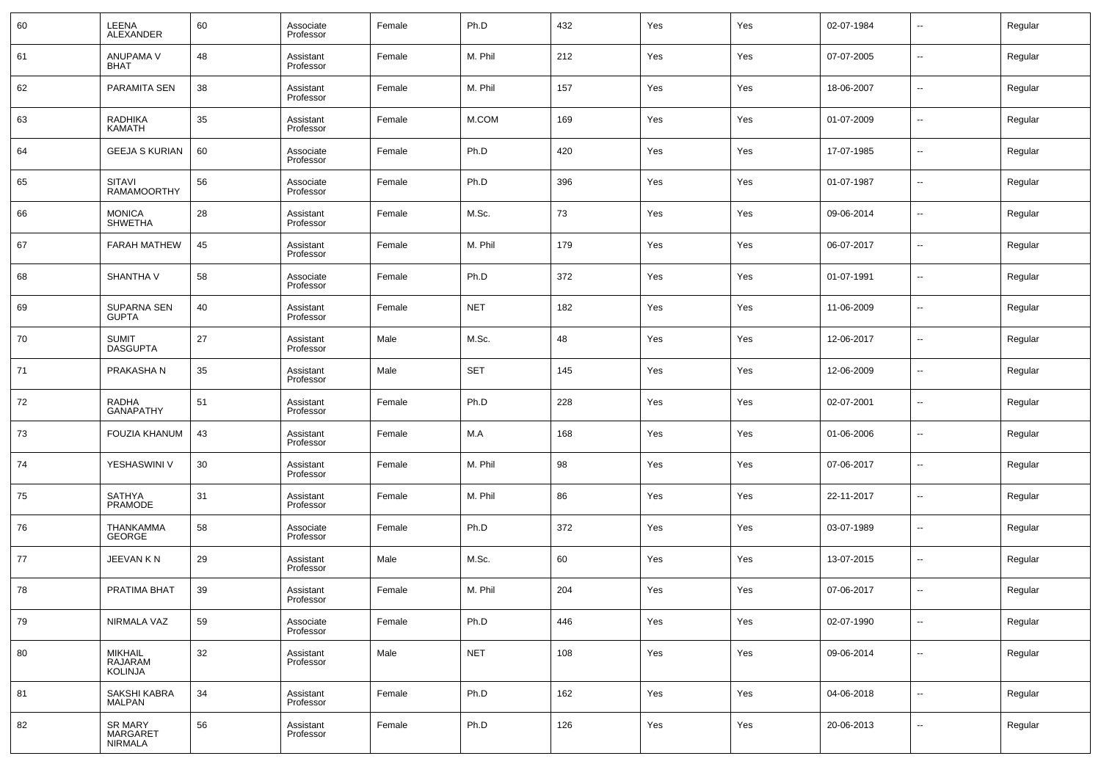| 60 | LEENA<br><b>ALEXANDER</b>                           | 60 | Associate<br>Professor | Female | Ph.D       | 432 | Yes | Yes | 02-07-1984 | $\sim$                   | Regular |
|----|-----------------------------------------------------|----|------------------------|--------|------------|-----|-----|-----|------------|--------------------------|---------|
| 61 | ANUPAMA V<br><b>BHAT</b>                            | 48 | Assistant<br>Professor | Female | M. Phil    | 212 | Yes | Yes | 07-07-2005 | $\overline{\phantom{a}}$ | Regular |
| 62 | PARAMITA SEN                                        | 38 | Assistant<br>Professor | Female | M. Phil    | 157 | Yes | Yes | 18-06-2007 | $\sim$                   | Regular |
| 63 | RADHIKA<br><b>KAMATH</b>                            | 35 | Assistant<br>Professor | Female | M.COM      | 169 | Yes | Yes | 01-07-2009 | $\sim$                   | Regular |
| 64 | <b>GEEJA S KURIAN</b>                               | 60 | Associate<br>Professor | Female | Ph.D       | 420 | Yes | Yes | 17-07-1985 | $\overline{\phantom{a}}$ | Regular |
| 65 | <b>SITAVI</b><br><b>RAMAMOORTHY</b>                 | 56 | Associate<br>Professor | Female | Ph.D       | 396 | Yes | Yes | 01-07-1987 | $\sim$                   | Regular |
| 66 | <b>MONICA</b><br><b>SHWETHA</b>                     | 28 | Assistant<br>Professor | Female | M.Sc.      | 73  | Yes | Yes | 09-06-2014 | $\overline{\phantom{a}}$ | Regular |
| 67 | <b>FARAH MATHEW</b>                                 | 45 | Assistant<br>Professor | Female | M. Phil    | 179 | Yes | Yes | 06-07-2017 | $\sim$                   | Regular |
| 68 | SHANTHA V                                           | 58 | Associate<br>Professor | Female | Ph.D       | 372 | Yes | Yes | 01-07-1991 | $\overline{\phantom{a}}$ | Regular |
| 69 | <b>SUPARNA SEN</b><br><b>GUPTA</b>                  | 40 | Assistant<br>Professor | Female | <b>NET</b> | 182 | Yes | Yes | 11-06-2009 | $\sim$                   | Regular |
| 70 | <b>SUMIT</b><br><b>DASGUPTA</b>                     | 27 | Assistant<br>Professor | Male   | M.Sc.      | 48  | Yes | Yes | 12-06-2017 | $\sim$                   | Regular |
| 71 | PRAKASHA N                                          | 35 | Assistant<br>Professor | Male   | <b>SET</b> | 145 | Yes | Yes | 12-06-2009 | $\sim$                   | Regular |
| 72 | <b>RADHA</b><br><b>GANAPATHY</b>                    | 51 | Assistant<br>Professor | Female | Ph.D       | 228 | Yes | Yes | 02-07-2001 | --                       | Regular |
| 73 | FOUZIA KHANUM                                       | 43 | Assistant<br>Professor | Female | M.A        | 168 | Yes | Yes | 01-06-2006 | $\sim$                   | Regular |
| 74 | YESHASWINI V                                        | 30 | Assistant<br>Professor | Female | M. Phil    | 98  | Yes | Yes | 07-06-2017 | --                       | Regular |
| 75 | <b>SATHYA</b><br><b>PRAMODE</b>                     | 31 | Assistant<br>Professor | Female | M. Phil    | 86  | Yes | Yes | 22-11-2017 | --                       | Regular |
| 76 | THANKAMMA<br><b>GEORGE</b>                          | 58 | Associate<br>Professor | Female | Ph.D       | 372 | Yes | Yes | 03-07-1989 | --                       | Regular |
| 77 | JEEVAN KN                                           | 29 | Assistant<br>Professor | Male   | M.Sc.      | 60  | Yes | Yes | 13-07-2015 | --                       | Regular |
| 78 | PRATIMA BHAT                                        | 39 | Assistant<br>Professor | Female | M. Phil    | 204 | Yes | Yes | 07-06-2017 | $\overline{a}$           | Regular |
| 79 | <b>NIRMALA VAZ</b>                                  | 59 | Associate<br>Professor | Female | Ph.D       | 446 | Yes | Yes | 02-07-1990 | $\sim$                   | Regular |
| 80 | <b>MIKHAIL</b><br>RAJARAM<br><b>KOLINJA</b>         | 32 | Assistant<br>Professor | Male   | <b>NET</b> | 108 | Yes | Yes | 09-06-2014 | $\sim$                   | Regular |
| 81 | SAKSHI KABRA<br><b>MALPAN</b>                       | 34 | Assistant<br>Professor | Female | Ph.D       | 162 | Yes | Yes | 04-06-2018 | $\sim$                   | Regular |
| 82 | <b>SR MARY</b><br><b>MARGARET</b><br><b>NIRMALA</b> | 56 | Assistant<br>Professor | Female | Ph.D       | 126 | Yes | Yes | 20-06-2013 | $\overline{\phantom{a}}$ | Regular |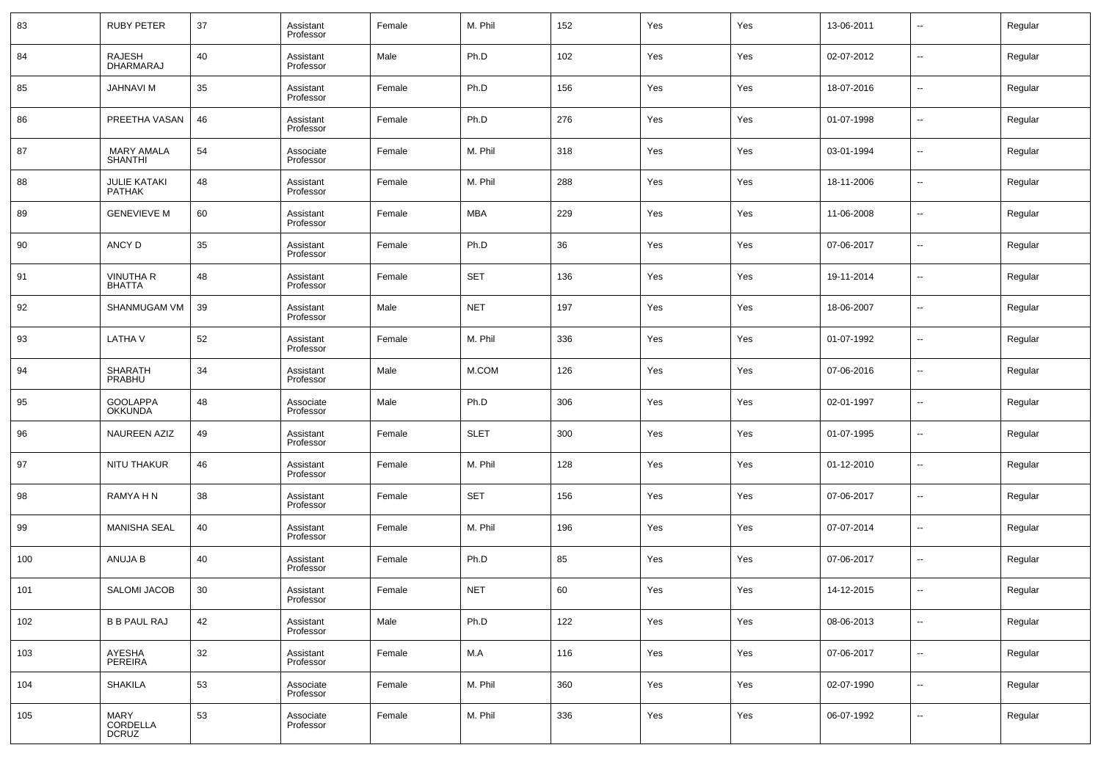| 83  | <b>RUBY PETER</b>                 | 37 | Assistant<br>Professor | Female | M. Phil     | 152 | Yes | Yes | 13-06-2011 | $\overline{\phantom{a}}$ | Regular |
|-----|-----------------------------------|----|------------------------|--------|-------------|-----|-----|-----|------------|--------------------------|---------|
| 84  | <b>RAJESH</b><br>DHARMARAJ        | 40 | Assistant<br>Professor | Male   | Ph.D        | 102 | Yes | Yes | 02-07-2012 | $\overline{\phantom{a}}$ | Regular |
| 85  | <b>JAHNAVI M</b>                  | 35 | Assistant<br>Professor | Female | Ph.D        | 156 | Yes | Yes | 18-07-2016 | $\overline{\phantom{a}}$ | Regular |
| 86  | PREETHA VASAN                     | 46 | Assistant<br>Professor | Female | Ph.D        | 276 | Yes | Yes | 01-07-1998 | $\overline{\phantom{a}}$ | Regular |
| 87  | <b>MARY AMALA</b><br>SHANTHI      | 54 | Associate<br>Professor | Female | M. Phil     | 318 | Yes | Yes | 03-01-1994 | $\overline{\phantom{a}}$ | Regular |
| 88  | <b>JULIE KATAKI</b><br>PATHAK     | 48 | Assistant<br>Professor | Female | M. Phil     | 288 | Yes | Yes | 18-11-2006 | $\overline{\phantom{a}}$ | Regular |
| 89  | <b>GENEVIEVE M</b>                | 60 | Assistant<br>Professor | Female | MBA         | 229 | Yes | Yes | 11-06-2008 | $\overline{\phantom{a}}$ | Regular |
| 90  | ANCY D                            | 35 | Assistant<br>Professor | Female | Ph.D        | 36  | Yes | Yes | 07-06-2017 | $\overline{\phantom{a}}$ | Regular |
| 91  | <b>VINUTHA R</b><br>BHATTA        | 48 | Assistant<br>Professor | Female | <b>SET</b>  | 136 | Yes | Yes | 19-11-2014 | $\overline{\phantom{a}}$ | Regular |
| 92  | SHANMUGAM VM                      | 39 | Assistant<br>Professor | Male   | <b>NET</b>  | 197 | Yes | Yes | 18-06-2007 | $\overline{\phantom{a}}$ | Regular |
| 93  | <b>LATHAV</b>                     | 52 | Assistant<br>Professor | Female | M. Phil     | 336 | Yes | Yes | 01-07-1992 | $\overline{\phantom{a}}$ | Regular |
| 94  | <b>SHARATH</b><br>PRABHU          | 34 | Assistant<br>Professor | Male   | M.COM       | 126 | Yes | Yes | 07-06-2016 | $\overline{\phantom{a}}$ | Regular |
| 95  | <b>GOOLAPPA</b><br><b>OKKUNDA</b> | 48 | Associate<br>Professor | Male   | Ph.D        | 306 | Yes | Yes | 02-01-1997 | $\overline{\phantom{a}}$ | Regular |
| 96  | <b>NAUREEN AZIZ</b>               | 49 | Assistant<br>Professor | Female | <b>SLET</b> | 300 | Yes | Yes | 01-07-1995 | $\overline{\phantom{a}}$ | Regular |
| 97  | NITU THAKUR                       | 46 | Assistant<br>Professor | Female | M. Phil     | 128 | Yes | Yes | 01-12-2010 | $\overline{\phantom{a}}$ | Regular |
| 98  | RAMYA H N                         | 38 | Assistant<br>Professor | Female | <b>SET</b>  | 156 | Yes | Yes | 07-06-2017 | $\overline{\phantom{a}}$ | Regular |
| 99  | <b>MANISHA SEAL</b>               | 40 | Assistant<br>Professor | Female | M. Phil     | 196 | Yes | Yes | 07-07-2014 | $\overline{\phantom{a}}$ | Regular |
| 100 | ANUJA B                           | 40 | Assistant<br>Professor | Female | Ph.D        | 85  | Yes | Yes | 07-06-2017 | $\overline{\phantom{a}}$ | Regular |
| 101 | SALOMI JACOB                      | 30 | Assistant<br>Professor | Female | <b>NET</b>  | 60  | Yes | Yes | 14-12-2015 | $\overline{\phantom{a}}$ | Regular |
| 102 | <b>B B PAUL RAJ</b>               | 42 | Assistant<br>Professor | Male   | Ph.D        | 122 | Yes | Yes | 08-06-2013 | $\sim$                   | Regular |
| 103 | AYESHA<br>PEREIRA                 | 32 | Assistant<br>Professor | Female | M.A         | 116 | Yes | Yes | 07-06-2017 | $\sim$                   | Regular |
| 104 | <b>SHAKILA</b>                    | 53 | Associate<br>Professor | Female | M. Phil     | 360 | Yes | Yes | 02-07-1990 | $\sim$                   | Regular |
| 105 | MARY<br>CORDELLA<br>DCRUZ         | 53 | Associate<br>Professor | Female | M. Phil     | 336 | Yes | Yes | 06-07-1992 | $\sim$                   | Regular |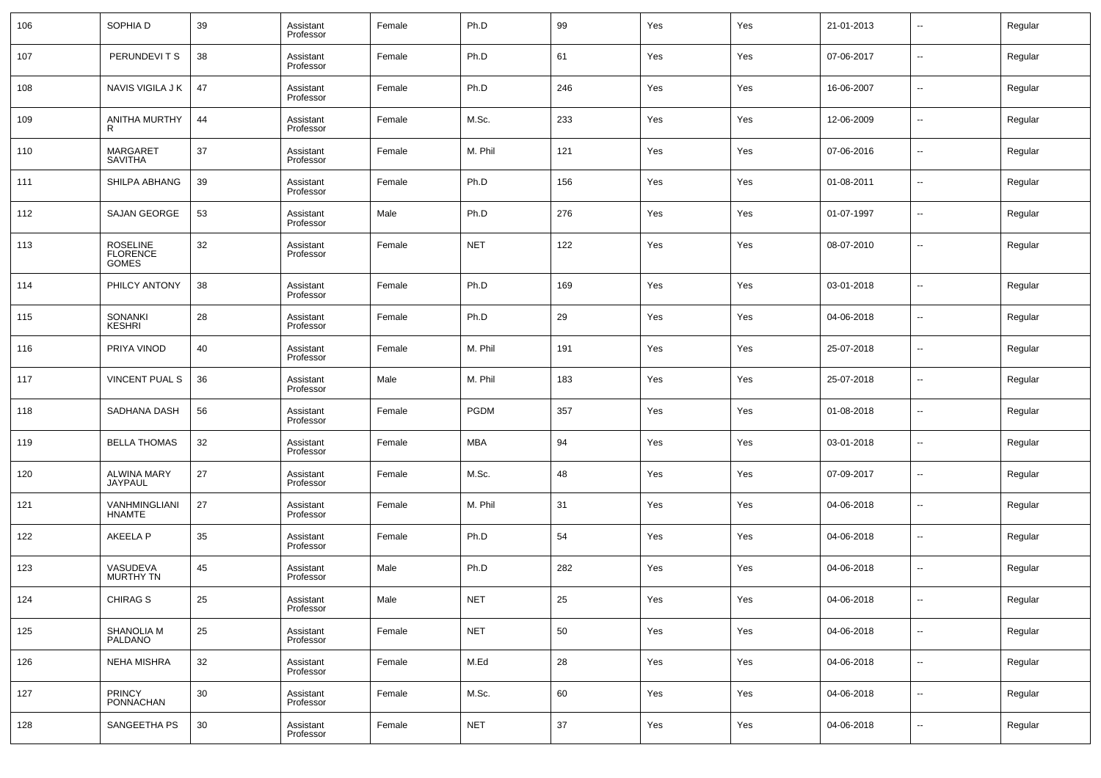| 106 | SOPHIA D                             | 39 | Assistant<br>Professor | Female | Ph.D       | 99  | Yes | Yes | 21-01-2013 | $\sim$                   | Regular |
|-----|--------------------------------------|----|------------------------|--------|------------|-----|-----|-----|------------|--------------------------|---------|
| 107 | PERUNDEVITS                          | 38 | Assistant<br>Professor | Female | Ph.D       | 61  | Yes | Yes | 07-06-2017 | $\sim$                   | Regular |
| 108 | NAVIS VIGILA J K                     | 47 | Assistant<br>Professor | Female | Ph.D       | 246 | Yes | Yes | 16-06-2007 | $\overline{\phantom{a}}$ | Regular |
| 109 | ANITHA MURTHY                        | 44 | Assistant<br>Professor | Female | M.Sc.      | 233 | Yes | Yes | 12-06-2009 | $\sim$                   | Regular |
| 110 | <b>MARGARET</b><br><b>SAVITHA</b>    | 37 | Assistant<br>Professor | Female | M. Phil    | 121 | Yes | Yes | 07-06-2016 | $\sim$                   | Regular |
| 111 | SHILPA ABHANG                        | 39 | Assistant<br>Professor | Female | Ph.D       | 156 | Yes | Yes | 01-08-2011 | --                       | Regular |
| 112 | <b>SAJAN GEORGE</b>                  | 53 | Assistant<br>Professor | Male   | Ph.D       | 276 | Yes | Yes | 01-07-1997 | --                       | Regular |
| 113 | ROSELINE<br>FLORENCE<br><b>GOMES</b> | 32 | Assistant<br>Professor | Female | <b>NET</b> | 122 | Yes | Yes | 08-07-2010 | --                       | Regular |
| 114 | PHILCY ANTONY                        | 38 | Assistant<br>Professor | Female | Ph.D       | 169 | Yes | Yes | 03-01-2018 | --                       | Regular |
| 115 | SONANKI<br><b>KESHRI</b>             | 28 | Assistant<br>Professor | Female | Ph.D       | 29  | Yes | Yes | 04-06-2018 | --                       | Regular |
| 116 | PRIYA VINOD                          | 40 | Assistant<br>Professor | Female | M. Phil    | 191 | Yes | Yes | 25-07-2018 | --                       | Regular |
| 117 | <b>VINCENT PUAL S</b>                | 36 | Assistant<br>Professor | Male   | M. Phil    | 183 | Yes | Yes | 25-07-2018 | --                       | Regular |
| 118 | SADHANA DASH                         | 56 | Assistant<br>Professor | Female | PGDM       | 357 | Yes | Yes | 01-08-2018 | $\sim$                   | Regular |
| 119 | <b>BELLA THOMAS</b>                  | 32 | Assistant<br>Professor | Female | MBA        | 94  | Yes | Yes | 03-01-2018 | $\overline{a}$           | Regular |
| 120 | <b>ALWINA MARY</b><br>JAYPAUL        | 27 | Assistant<br>Professor | Female | M.Sc.      | 48  | Yes | Yes | 07-09-2017 | $\sim$                   | Regular |
| 121 | VANHMINGLIANI<br><b>HNAMTE</b>       | 27 | Assistant<br>Professor | Female | M. Phil    | 31  | Yes | Yes | 04-06-2018 | $\overline{a}$           | Regular |
| 122 | <b>AKEELA P</b>                      | 35 | Assistant<br>Professor | Female | Ph.D       | 54  | Yes | Yes | 04-06-2018 | $\overline{a}$           | Regular |
| 123 | VASUDEVA<br><b>MURTHY TN</b>         | 45 | Assistant<br>Professor | Male   | Ph.D       | 282 | Yes | Yes | 04-06-2018 | --                       | Regular |
| 124 | CHIRAG S                             | 25 | Assistant<br>Professor | Male   | <b>NET</b> | 25  | Yes | Yes | 04-06-2018 |                          | Regular |
| 125 | SHANOLIA M<br>PALDANO                | 25 | Assistant<br>Professor | Female | <b>NET</b> | 50  | Yes | Yes | 04-06-2018 | u,                       | Regular |
| 126 | NEHA MISHRA                          | 32 | Assistant<br>Professor | Female | M.Ed       | 28  | Yes | Yes | 04-06-2018 | u,                       | Regular |
| 127 | PRINCY<br>PONNACHAN                  | 30 | Assistant<br>Professor | Female | M.Sc.      | 60  | Yes | Yes | 04-06-2018 | u,                       | Regular |
| 128 | SANGEETHA PS                         | 30 | Assistant<br>Professor | Female | <b>NET</b> | 37  | Yes | Yes | 04-06-2018 | $\overline{\phantom{a}}$ | Regular |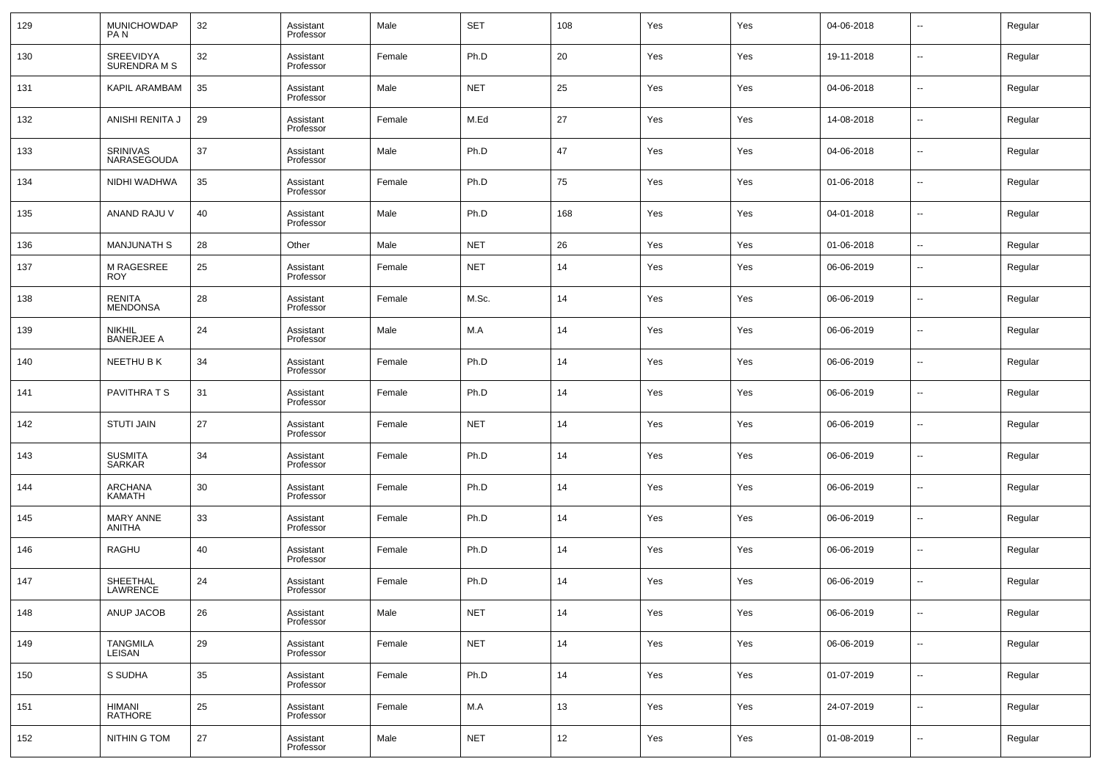| 129 | MUNICHOWDAP<br>PA N                | 32 | Assistant<br>Professor | Male   | <b>SET</b> | 108 | Yes | Yes | 04-06-2018 | $\overline{\phantom{a}}$ | Regular |
|-----|------------------------------------|----|------------------------|--------|------------|-----|-----|-----|------------|--------------------------|---------|
| 130 | SREEVIDYA<br><b>SURENDRAMS</b>     | 32 | Assistant<br>Professor | Female | Ph.D       | 20  | Yes | Yes | 19-11-2018 | $\overline{\phantom{a}}$ | Regular |
| 131 | KAPIL ARAMBAM                      | 35 | Assistant<br>Professor | Male   | <b>NET</b> | 25  | Yes | Yes | 04-06-2018 | $\overline{\phantom{a}}$ | Regular |
| 132 | ANISHI RENITA J                    | 29 | Assistant<br>Professor | Female | M.Ed       | 27  | Yes | Yes | 14-08-2018 | $\overline{\phantom{a}}$ | Regular |
| 133 | SRINIVAS<br>NARASEGOUDA            | 37 | Assistant<br>Professor | Male   | Ph.D       | 47  | Yes | Yes | 04-06-2018 | $\overline{\phantom{a}}$ | Regular |
| 134 | NIDHI WADHWA                       | 35 | Assistant<br>Professor | Female | Ph.D       | 75  | Yes | Yes | 01-06-2018 | ÷.                       | Regular |
| 135 | ANAND RAJU V                       | 40 | Assistant<br>Professor | Male   | Ph.D       | 168 | Yes | Yes | 04-01-2018 | $\overline{\phantom{a}}$ | Regular |
| 136 | <b>MANJUNATH S</b>                 | 28 | Other                  | Male   | <b>NET</b> | 26  | Yes | Yes | 01-06-2018 | ÷.                       | Regular |
| 137 | M RAGESREE<br><b>ROY</b>           | 25 | Assistant<br>Professor | Female | <b>NET</b> | 14  | Yes | Yes | 06-06-2019 | --                       | Regular |
| 138 | RENITA<br><b>MENDONSA</b>          | 28 | Assistant<br>Professor | Female | M.Sc.      | 14  | Yes | Yes | 06-06-2019 | $\overline{\phantom{a}}$ | Regular |
| 139 | <b>NIKHIL</b><br><b>BANERJEE A</b> | 24 | Assistant<br>Professor | Male   | M.A        | 14  | Yes | Yes | 06-06-2019 | $\overline{\phantom{a}}$ | Regular |
| 140 | NEETHU B K                         | 34 | Assistant<br>Professor | Female | Ph.D       | 14  | Yes | Yes | 06-06-2019 | --                       | Regular |
| 141 | PAVITHRA T S                       | 31 | Assistant<br>Professor | Female | Ph.D       | 14  | Yes | Yes | 06-06-2019 | --                       | Regular |
| 142 | <b>STUTI JAIN</b>                  | 27 | Assistant<br>Professor | Female | <b>NET</b> | 14  | Yes | Yes | 06-06-2019 | --                       | Regular |
| 143 | <b>SUSMITA</b><br>SARKAR           | 34 | Assistant<br>Professor | Female | Ph.D       | 14  | Yes | Yes | 06-06-2019 | --                       | Regular |
| 144 | <b>ARCHANA</b><br><b>KAMATH</b>    | 30 | Assistant<br>Professor | Female | Ph.D       | 14  | Yes | Yes | 06-06-2019 | $\sim$                   | Regular |
| 145 | <b>MARY ANNE</b><br>ANITHA         | 33 | Assistant<br>Professor | Female | Ph.D       | 14  | Yes | Yes | 06-06-2019 | --                       | Regular |
| 146 | RAGHU                              | 40 | Assistant<br>Professor | Female | Ph.D       | 14  | Yes | Yes | 06-06-2019 | --                       | Regular |
| 147 | SHEETHAL<br>LAWRENCE               | 24 | Assistant<br>Professor | Female | Ph.D       | 14  | Yes | Yes | 06-06-2019 | --                       | Regular |
| 148 | ANUP JACOB                         | 26 | Assistant<br>Professor | Male   | <b>NET</b> | 14  | Yes | Yes | 06-06-2019 | $\sim$                   | Regular |
| 149 | TANGMILA<br>LEISAN                 | 29 | Assistant<br>Professor | Female | <b>NET</b> | 14  | Yes | Yes | 06-06-2019 | $\sim$                   | Regular |
| 150 | S SUDHA                            | 35 | Assistant<br>Professor | Female | Ph.D       | 14  | Yes | Yes | 01-07-2019 | $\sim$                   | Regular |
| 151 | HIMANI<br><b>RATHORE</b>           | 25 | Assistant<br>Professor | Female | M.A        | 13  | Yes | Yes | 24-07-2019 | $\sim$                   | Regular |
| 152 | NITHIN G TOM                       | 27 | Assistant<br>Professor | Male   | <b>NET</b> | 12  | Yes | Yes | 01-08-2019 | $\sim$                   | Regular |